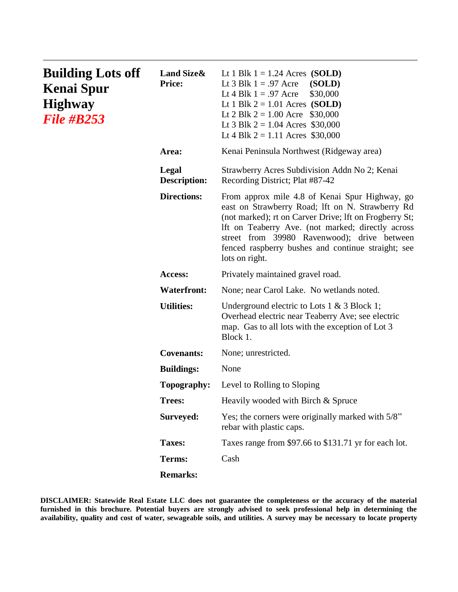| <b>Building Lots off</b><br><b>Kenai Spur</b><br><b>Highway</b><br><b>File #B253</b> | <b>Land Size &amp;</b><br><b>Price:</b> | Lt 1 Blk $1 = 1.24$ Acres (SOLD)<br>Lt 3 Blk $1 = .97$ Acre (SOLD)<br>Lt 4 Blk $1 = .97$ Acre<br>\$30,000<br>Lt 1 Blk $2 = 1.01$ Acres (SOLD)<br>Lt 2 Blk $2 = 1.00$ Acre \$30,000<br>Lt 3 Blk $2 = 1.04$ Acres \$30,000<br>Lt 4 Blk $2 = 1.11$ Acres \$30,000                                                                           |
|--------------------------------------------------------------------------------------|-----------------------------------------|------------------------------------------------------------------------------------------------------------------------------------------------------------------------------------------------------------------------------------------------------------------------------------------------------------------------------------------|
|                                                                                      | Area:                                   | Kenai Peninsula Northwest (Ridgeway area)                                                                                                                                                                                                                                                                                                |
|                                                                                      | Legal<br><b>Description:</b>            | Strawberry Acres Subdivision Addn No 2; Kenai<br>Recording District; Plat #87-42                                                                                                                                                                                                                                                         |
|                                                                                      | <b>Directions:</b>                      | From approx mile 4.8 of Kenai Spur Highway, go<br>east on Strawberry Road; Ift on N. Strawberry Rd<br>(not marked); rt on Carver Drive; Ift on Frogberry St;<br>Ift on Teaberry Ave. (not marked; directly across<br>street from 39980 Ravenwood); drive between<br>fenced raspberry bushes and continue straight; see<br>lots on right. |
|                                                                                      | Access:                                 | Privately maintained gravel road.                                                                                                                                                                                                                                                                                                        |
|                                                                                      | <b>Waterfront:</b>                      | None; near Carol Lake. No wetlands noted.                                                                                                                                                                                                                                                                                                |
|                                                                                      | <b>Utilities:</b>                       | Underground electric to Lots $1 \& 3 \text{ Block } 1$ ;<br>Overhead electric near Teaberry Ave; see electric<br>map. Gas to all lots with the exception of Lot 3<br>Block 1.                                                                                                                                                            |
|                                                                                      | <b>Covenants:</b>                       | None; unrestricted.                                                                                                                                                                                                                                                                                                                      |
|                                                                                      | <b>Buildings:</b>                       | None                                                                                                                                                                                                                                                                                                                                     |
|                                                                                      | Topography:                             | Level to Rolling to Sloping                                                                                                                                                                                                                                                                                                              |
|                                                                                      | <b>Trees:</b>                           | Heavily wooded with Birch & Spruce                                                                                                                                                                                                                                                                                                       |
|                                                                                      | Surveyed:                               | Yes; the corners were originally marked with 5/8"<br>rebar with plastic caps.                                                                                                                                                                                                                                                            |
|                                                                                      | <b>Taxes:</b>                           | Taxes range from \$97.66 to \$131.71 yr for each lot.                                                                                                                                                                                                                                                                                    |
|                                                                                      | Terms:                                  | Cash                                                                                                                                                                                                                                                                                                                                     |
|                                                                                      | <b>Remarks:</b>                         |                                                                                                                                                                                                                                                                                                                                          |

**DISCLAIMER: Statewide Real Estate LLC does not guarantee the completeness or the accuracy of the material furnished in this brochure. Potential buyers are strongly advised to seek professional help in determining the availability, quality and cost of water, sewageable soils, and utilities. A survey may be necessary to locate property**